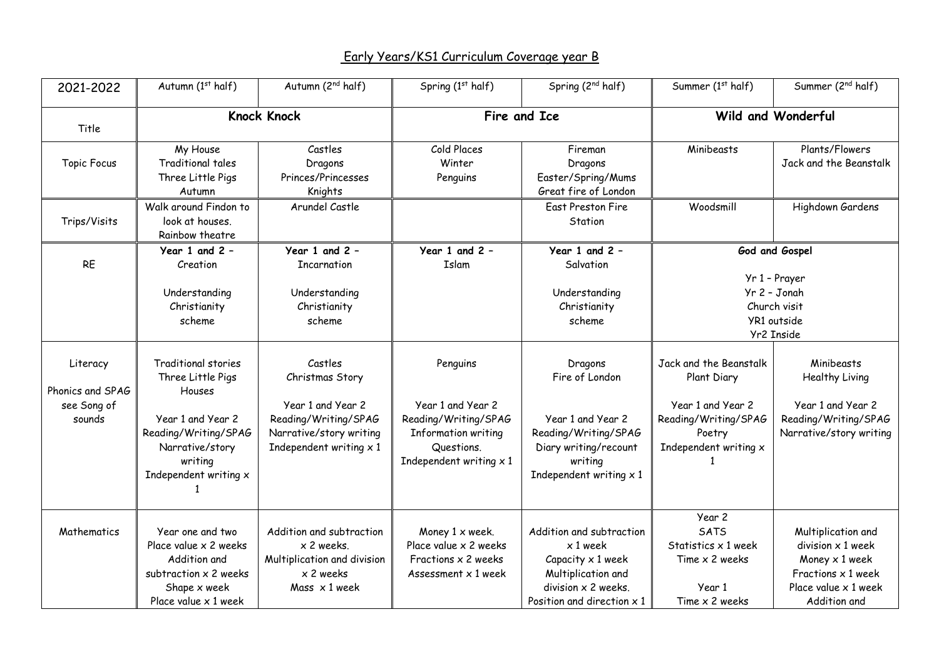## Early Years/KS1 Curriculum Coverage year B

| 2021-2022                                             | Autumn (1st half)                                                                                                                                             | Autumn (2 <sup>nd</sup> half)                                                                                                        | Spring (1st half)                                                                                                                   | Spring (2 <sup>nd</sup> half)                                                                                                                        | Summer (1st half)                                                                                                     | Summer (2 <sup>nd</sup> half)                                                                                                           |
|-------------------------------------------------------|---------------------------------------------------------------------------------------------------------------------------------------------------------------|--------------------------------------------------------------------------------------------------------------------------------------|-------------------------------------------------------------------------------------------------------------------------------------|------------------------------------------------------------------------------------------------------------------------------------------------------|-----------------------------------------------------------------------------------------------------------------------|-----------------------------------------------------------------------------------------------------------------------------------------|
| Title                                                 | <b>Knock Knock</b>                                                                                                                                            |                                                                                                                                      | Fire and Ice                                                                                                                        |                                                                                                                                                      |                                                                                                                       | Wild and Wonderful                                                                                                                      |
| <b>Topic Focus</b>                                    | My House<br>Traditional tales<br>Three Little Pigs<br>Autumn<br>Walk around Findon to                                                                         | Castles<br>Dragons<br>Princes/Princesses<br>Knights<br>Arundel Castle                                                                | Cold Places<br>Winter<br>Penguins                                                                                                   | Fireman<br>Dragons<br>Easter/Spring/Mums<br>Great fire of London<br><b>East Preston Fire</b>                                                         | Minibeasts<br>Woodsmill                                                                                               | Plants/Flowers<br>Jack and the Beanstalk<br>Highdown Gardens                                                                            |
| Trips/Visits                                          | look at houses.<br>Rainbow theatre                                                                                                                            |                                                                                                                                      |                                                                                                                                     | Station                                                                                                                                              |                                                                                                                       |                                                                                                                                         |
| <b>RE</b>                                             | Year 1 and $2 -$<br>Creation<br>Understanding<br>Christianity<br>scheme                                                                                       | Year 1 and 2 -<br>Incarnation<br>Understanding<br>Christianity<br>scheme                                                             | Year 1 and 2 -<br>Islam                                                                                                             | Year 1 and 2 -<br>Salvation<br>Understanding<br>Christianity<br>scheme                                                                               |                                                                                                                       | God and Gospel<br>Yr 1 - Prayer<br>Yr 2 - Jonah<br>Church visit<br>YR1 outside<br>Yr2 Inside                                            |
| Literacy<br>Phonics and SPAG<br>see Song of<br>sounds | <b>Traditional stories</b><br>Three Little Pigs<br>Houses<br>Year 1 and Year 2<br>Reading/Writing/SPAG<br>Narrative/story<br>writing<br>Independent writing x | Castles<br>Christmas Story<br>Year 1 and Year 2<br>Reading/Writing/SPAG<br>Narrative/story writing<br>Independent writing $\times$ 1 | Penguins<br>Year 1 and Year 2<br>Reading/Writing/SPAG<br><b>Information writing</b><br>Questions.<br>Independent writing $\times$ 1 | Dragons<br>Fire of London<br>Year 1 and Year 2<br>Reading/Writing/SPAG<br>Diary writing/recount<br>writing<br>Independent writing $\times$ 1         | Jack and the Beanstalk<br>Plant Diary<br>Year 1 and Year 2<br>Reading/Writing/SPAG<br>Poetry<br>Independent writing x | Minibeasts<br><b>Healthy Living</b><br>Year 1 and Year 2<br>Reading/Writing/SPAG<br>Narrative/story writing                             |
| Mathematics                                           | Year one and two<br>Place value x 2 weeks<br>Addition and<br>subtraction x 2 weeks<br>Shape x week<br>Place value $\times$ 1 week                             | Addition and subtraction<br>x 2 weeks.<br>Multiplication and division<br>x 2 weeks<br>Mass $\times$ 1 week                           | Money 1 x week.<br>Place value x 2 weeks<br>Fractions x 2 weeks<br>Assessment $\times$ 1 week                                       | Addition and subtraction<br>x 1 week<br>Capacity $\times$ 1 week<br>Multiplication and<br>division $x$ 2 weeks.<br>Position and direction $\times$ 1 | Year 2<br><b>SATS</b><br>Statistics x 1 week<br>Time x 2 weeks<br>Year 1<br>Time $x$ 2 weeks                          | Multiplication and<br>division $\times$ 1 week<br>Money $\times$ 1 week<br>Fractions $x$ 1 week<br>Place value x 1 week<br>Addition and |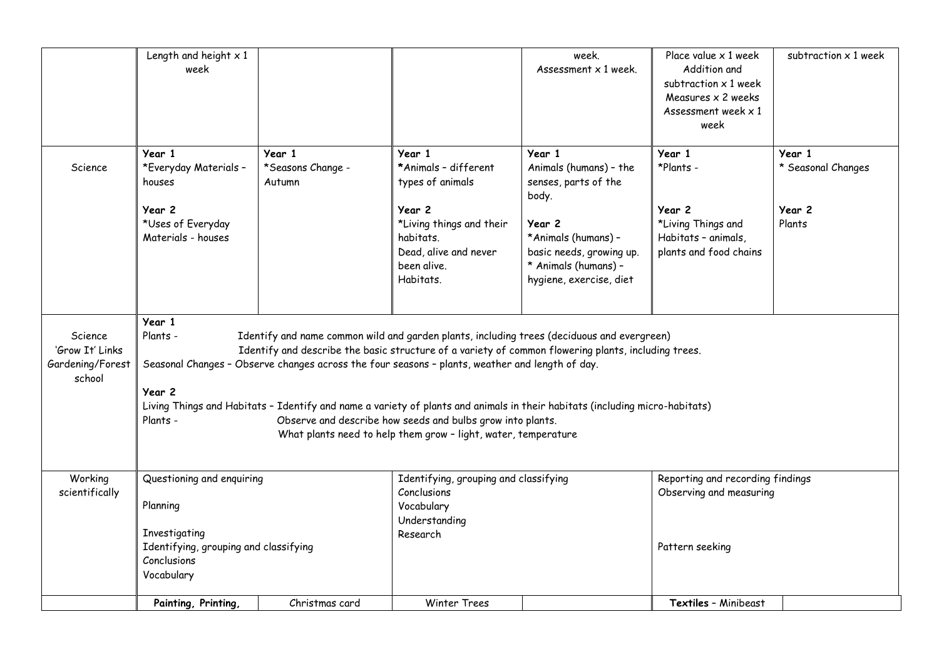|                                                          | Length and height $x$ 1<br>week                                                                                                                                                                                                                                                                                                                                                                                                                                                                                                                                                                                 |                                       |                                                                                                      | week.<br>Assessment x 1 week.                                                                                | Place value x 1 week<br>Addition and<br>subtraction x 1 week<br>Measures $\times$ 2 weeks<br>Assessment week $\times$ 1<br>week | subtraction x 1 week         |
|----------------------------------------------------------|-----------------------------------------------------------------------------------------------------------------------------------------------------------------------------------------------------------------------------------------------------------------------------------------------------------------------------------------------------------------------------------------------------------------------------------------------------------------------------------------------------------------------------------------------------------------------------------------------------------------|---------------------------------------|------------------------------------------------------------------------------------------------------|--------------------------------------------------------------------------------------------------------------|---------------------------------------------------------------------------------------------------------------------------------|------------------------------|
| Science                                                  | Year 1<br>*Everyday Materials -<br>houses                                                                                                                                                                                                                                                                                                                                                                                                                                                                                                                                                                       | Year 1<br>*Seasons Change -<br>Autumn | Year 1<br>*Animals - different<br>types of animals                                                   | Year 1<br>Animals (humans) - the<br>senses, parts of the<br>body.                                            | Year 1<br>*Plants -                                                                                                             | Year 1<br>* Seasonal Changes |
|                                                          | Year 2<br>*Uses of Everyday<br>Materials - houses                                                                                                                                                                                                                                                                                                                                                                                                                                                                                                                                                               |                                       | Year 2<br>*Living things and their<br>habitats.<br>Dead, alive and never<br>been alive.<br>Habitats. | Year 2<br>*Animals (humans) -<br>basic needs, growing up.<br>* Animals (humans) -<br>hygiene, exercise, diet | Year 2<br>*Living Things and<br>Habitats - animals,<br>plants and food chains                                                   | Year 2<br>Plants             |
| Science<br>'Grow It' Links<br>Gardening/Forest<br>school | Year 1<br>Plants -<br>Identify and name common wild and garden plants, including trees (deciduous and evergreen)<br>Identify and describe the basic structure of a variety of common flowering plants, including trees.<br>Seasonal Changes - Observe changes across the four seasons - plants, weather and length of day.<br>Year 2<br>Living Things and Habitats - Identify and name a variety of plants and animals in their habitats (including micro-habitats)<br>Observe and describe how seeds and bulbs grow into plants.<br>Plants -<br>What plants need to help them grow - light, water, temperature |                                       |                                                                                                      |                                                                                                              |                                                                                                                                 |                              |
| Working<br>scientifically                                | Questioning and enquiring<br>Planning<br>Investigating<br>Identifying, grouping and classifying<br>Conclusions                                                                                                                                                                                                                                                                                                                                                                                                                                                                                                  |                                       | Identifying, grouping and classifying<br>Conclusions<br>Vocabulary<br>Understanding<br>Research      |                                                                                                              | Reporting and recording findings<br>Observing and measuring<br>Pattern seeking                                                  |                              |
|                                                          | Vocabulary<br>Painting, Printing,                                                                                                                                                                                                                                                                                                                                                                                                                                                                                                                                                                               | Christmas card                        | <b>Winter Trees</b>                                                                                  |                                                                                                              | Textiles - Minibeast                                                                                                            |                              |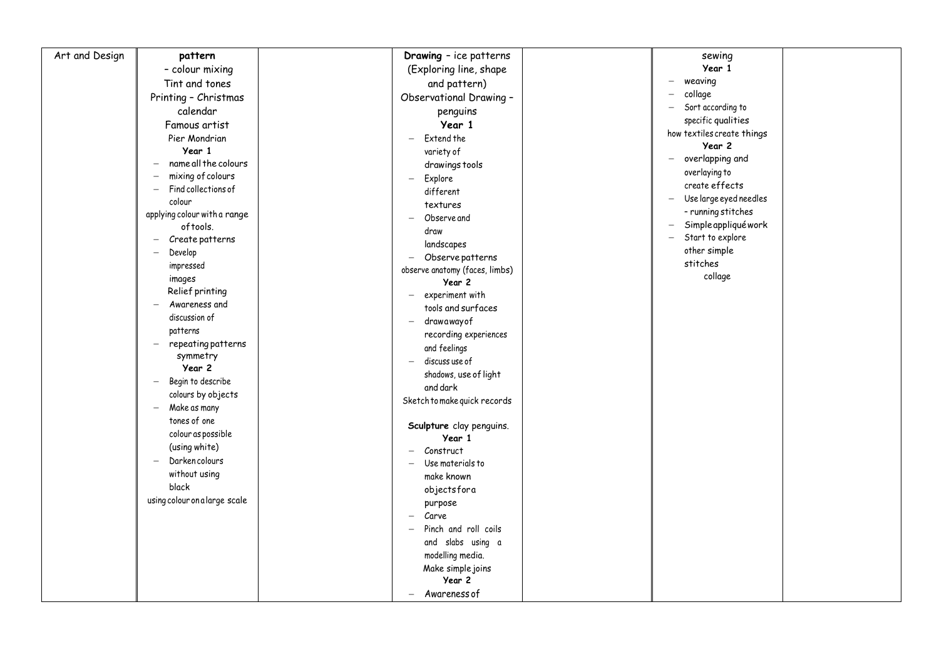| Art and Design           | pattern                       | Drawing - ice patterns                       | sewing                                             |  |
|--------------------------|-------------------------------|----------------------------------------------|----------------------------------------------------|--|
|                          | - colour mixing               | (Exploring line, shape                       | Year 1                                             |  |
|                          | Tint and tones                | and pattern)                                 | weaving<br>$\overline{\phantom{0}}$                |  |
| Printing - Christmas     |                               | Observational Drawing -                      | collage<br>$\overline{\phantom{0}}$                |  |
|                          | calendar                      |                                              | Sort according to<br>$-$                           |  |
|                          |                               | penguins<br>Year 1                           | specific qualities                                 |  |
|                          | Famous artist                 |                                              | how textiles create things                         |  |
|                          | Pier Mondrian                 | Extend the                                   | Year 2                                             |  |
| Year 1                   | name all the colours          | variety of                                   | - overlapping and                                  |  |
|                          | mixing of colours             | drawings tools                               | overlaying to                                      |  |
| $\overline{\phantom{m}}$ | Find collections of           | Explore                                      | create effects                                     |  |
| colour                   |                               | different                                    | Use large eyed needles<br>$\overline{\phantom{m}}$ |  |
|                          | applying colour with a range  | textures                                     | - running stitches                                 |  |
|                          | oftools.                      | Observe and                                  | Simple appliqué work<br>$\overline{\phantom{m}}$   |  |
|                          | Create patterns               | draw                                         | Start to explore<br>$\overline{\phantom{m}}$       |  |
| Develop                  |                               | landscapes                                   | other simple                                       |  |
| impressed                |                               | Observe patterns<br>$\overline{\phantom{0}}$ | stitches                                           |  |
| images                   |                               | observe anatomy (faces, limbs)               | collage                                            |  |
| Relief printing          |                               | Year 2                                       |                                                    |  |
|                          | Awareness and                 | experiment with<br>tools and surfaces        |                                                    |  |
| discussion of            |                               |                                              |                                                    |  |
| patterns                 |                               | drawawayof<br>recording experiences          |                                                    |  |
|                          | repeating patterns            | and feelings                                 |                                                    |  |
| symmetry                 |                               | discuss use of                               |                                                    |  |
| Year 2                   |                               | shadows, use of light                        |                                                    |  |
|                          | Begin to describe             | and dark                                     |                                                    |  |
|                          | colours by objects            | Sketch to make quick records                 |                                                    |  |
| Make as many             |                               |                                              |                                                    |  |
| tones of one             |                               | Sculpture clay penguins.                     |                                                    |  |
|                          | colour as possible            | Year 1                                       |                                                    |  |
| (using white)            |                               | Construct                                    |                                                    |  |
| Darkencolours            |                               | Use materials to                             |                                                    |  |
| without using            |                               | make known                                   |                                                    |  |
| black                    |                               | objectsfora                                  |                                                    |  |
|                          | using colour on a large scale | purpose                                      |                                                    |  |
|                          |                               | Carve                                        |                                                    |  |
|                          |                               | Pinch and roll coils                         |                                                    |  |
|                          |                               | and slabs using a                            |                                                    |  |
|                          |                               | modelling media.                             |                                                    |  |
|                          |                               | Make simple joins                            |                                                    |  |
|                          |                               | Year 2                                       |                                                    |  |
|                          |                               | Awareness of<br>$\overline{\phantom{0}}$     |                                                    |  |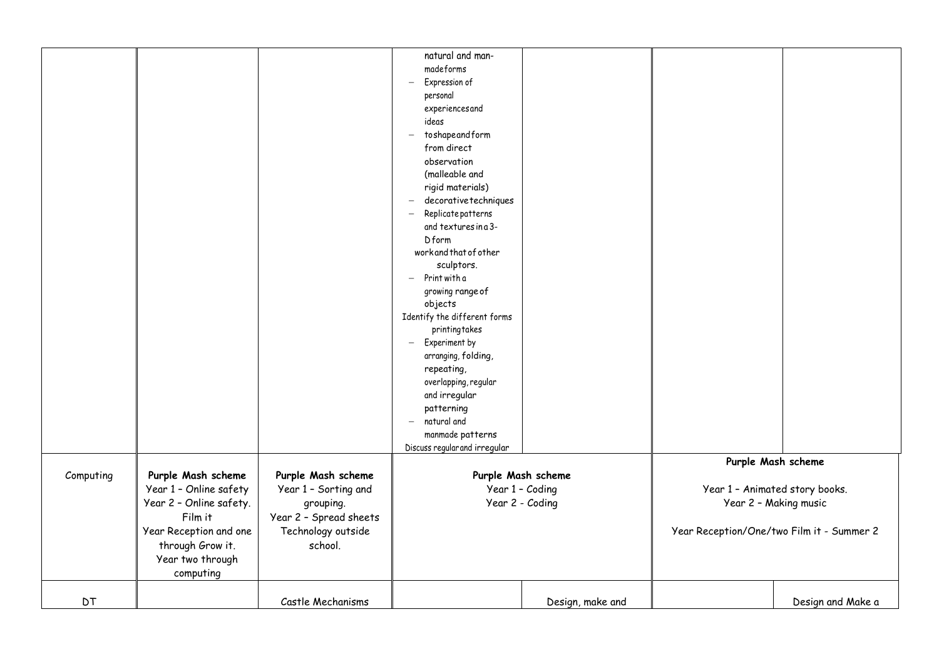|           |                         |                                     | natural and man-                               |                    |                                           |                    |
|-----------|-------------------------|-------------------------------------|------------------------------------------------|--------------------|-------------------------------------------|--------------------|
|           |                         |                                     | madeforms                                      |                    |                                           |                    |
|           |                         |                                     | Expression of<br>$\overline{\phantom{0}}$      |                    |                                           |                    |
|           |                         |                                     | personal                                       |                    |                                           |                    |
|           |                         |                                     | experiencesand                                 |                    |                                           |                    |
|           |                         |                                     | ideas                                          |                    |                                           |                    |
|           |                         |                                     | toshapeandform<br>$\overline{\phantom{m}}$     |                    |                                           |                    |
|           |                         |                                     | from direct                                    |                    |                                           |                    |
|           |                         |                                     | observation                                    |                    |                                           |                    |
|           |                         |                                     | (malleable and                                 |                    |                                           |                    |
|           |                         |                                     | rigid materials)                               |                    |                                           |                    |
|           |                         |                                     | decorative techniques                          |                    |                                           |                    |
|           |                         |                                     | Replicate patterns<br>$\overline{\phantom{m}}$ |                    |                                           |                    |
|           |                         |                                     | and textures in a 3-                           |                    |                                           |                    |
|           |                         |                                     | Dform                                          |                    |                                           |                    |
|           |                         |                                     | workand that of other                          |                    |                                           |                    |
|           |                         |                                     | sculptors.                                     |                    |                                           |                    |
|           |                         |                                     | $-$ Print with a                               |                    |                                           |                    |
|           |                         |                                     | growing range of                               |                    |                                           |                    |
|           |                         |                                     | objects                                        |                    |                                           |                    |
|           |                         |                                     | Identify the different forms                   |                    |                                           |                    |
|           |                         |                                     | printingtakes                                  |                    |                                           |                    |
|           |                         |                                     | $-$ Experiment by                              |                    |                                           |                    |
|           |                         |                                     | arranging, folding,                            |                    |                                           |                    |
|           |                         |                                     | repeating,                                     |                    |                                           |                    |
|           |                         |                                     | overlapping, regular                           |                    |                                           |                    |
|           |                         |                                     | and irregular                                  |                    |                                           |                    |
|           |                         |                                     | patterning                                     |                    |                                           |                    |
|           |                         |                                     | natural and<br>$-$                             |                    |                                           |                    |
|           |                         |                                     | manmade patterns                               |                    |                                           |                    |
|           |                         |                                     | Discuss regular and irregular                  |                    |                                           |                    |
|           |                         |                                     |                                                |                    |                                           | Purple Mash scheme |
| Computing | Purple Mash scheme      | Purple Mash scheme                  |                                                | Purple Mash scheme |                                           |                    |
|           | Year 1 - Online safety  | Year 1 - Sorting and                |                                                | Year 1 - Coding    | Year 1 - Animated story books.            |                    |
|           | Year 2 - Online safety. |                                     |                                                | Year 2 - Coding    | Year 2 - Making music                     |                    |
|           | Film it                 | grouping.<br>Year 2 - Spread sheets |                                                |                    |                                           |                    |
|           |                         |                                     |                                                |                    |                                           |                    |
|           | Year Reception and one  | Technology outside                  |                                                |                    | Year Reception/One/two Film it - Summer 2 |                    |
|           | through Grow it.        | school.                             |                                                |                    |                                           |                    |
|           | Year two through        |                                     |                                                |                    |                                           |                    |
|           | computing               |                                     |                                                |                    |                                           |                    |
|           |                         |                                     |                                                |                    |                                           |                    |
| <b>DT</b> |                         | Castle Mechanisms                   |                                                | Design, make and   |                                           | Design and Make a  |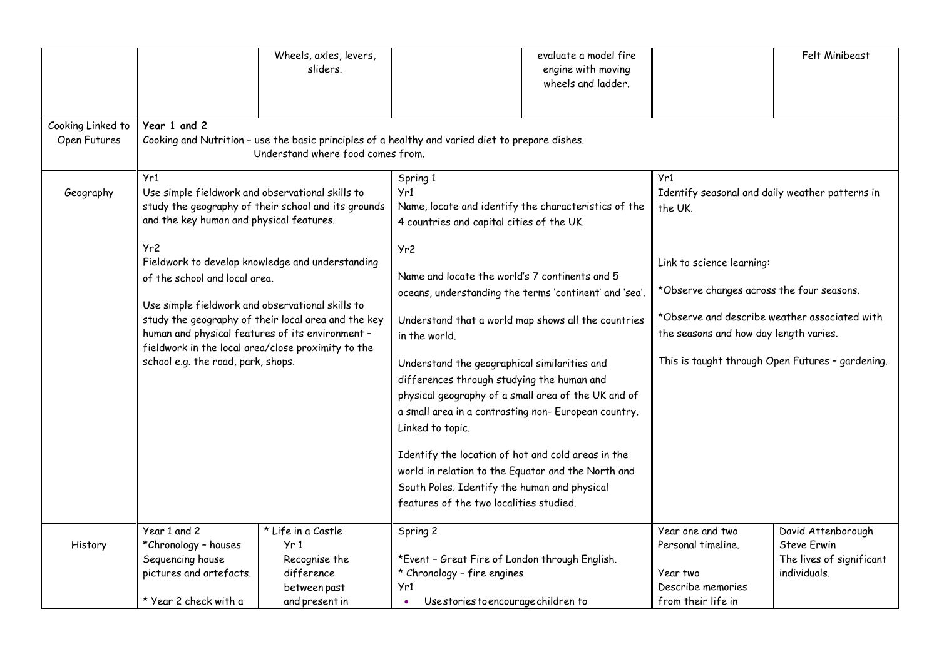|                                   |                                                                                                                                                                                                                                                                                                                                                                                                                                                                                                                                                                                  | Wheels, axles, levers,<br>sliders.                                                                                                    |                                                                                                                                                                                                                                                                                                                                                                                                                                                                                                                                                                                                                                               | evaluate a model fire<br>engine with moving<br>wheels and ladder.                                                                                                                                                                                                                          |                                                     | Felt Minibeast                                                 |
|-----------------------------------|----------------------------------------------------------------------------------------------------------------------------------------------------------------------------------------------------------------------------------------------------------------------------------------------------------------------------------------------------------------------------------------------------------------------------------------------------------------------------------------------------------------------------------------------------------------------------------|---------------------------------------------------------------------------------------------------------------------------------------|-----------------------------------------------------------------------------------------------------------------------------------------------------------------------------------------------------------------------------------------------------------------------------------------------------------------------------------------------------------------------------------------------------------------------------------------------------------------------------------------------------------------------------------------------------------------------------------------------------------------------------------------------|--------------------------------------------------------------------------------------------------------------------------------------------------------------------------------------------------------------------------------------------------------------------------------------------|-----------------------------------------------------|----------------------------------------------------------------|
| Cooking Linked to<br>Open Futures | Year 1 and 2                                                                                                                                                                                                                                                                                                                                                                                                                                                                                                                                                                     | Cooking and Nutrition - use the basic principles of a healthy and varied diet to prepare dishes.<br>Understand where food comes from. |                                                                                                                                                                                                                                                                                                                                                                                                                                                                                                                                                                                                                                               |                                                                                                                                                                                                                                                                                            |                                                     |                                                                |
| Geography                         | Yr1<br>Spring 1<br>Use simple fieldwork and observational skills to<br>Yr1<br>study the geography of their school and its grounds<br>and the key human and physical features.<br>Yr2<br>Yr2<br>Fieldwork to develop knowledge and understanding<br>of the school and local area.<br>Use simple fieldwork and observational skills to<br>study the geography of their local area and the key<br>human and physical features of its environment -<br>in the world.<br>fieldwork in the local area/close proximity to the<br>school e.g. the road, park, shops.<br>Linked to topic. |                                                                                                                                       | Name, locate and identify the characteristics of the<br>4 countries and capital cities of the UK.<br>Name and locate the world's 7 continents and 5<br>oceans, understanding the terms 'continent' and 'sea'.<br>Understand that a world map shows all the countries<br>Understand the geographical similarities and<br>differences through studying the human and<br>physical geography of a small area of the UK and of<br>a small area in a contrasting non- European country.<br>Identify the location of hot and cold areas in the<br>world in relation to the Equator and the North and<br>South Poles. Identify the human and physical | Yr1<br>Identify seasonal and daily weather patterns in<br>the UK.<br>Link to science learning:<br>*Observe changes across the four seasons.<br>*Observe and describe weather associated with<br>the seasons and how day length varies.<br>This is taught through Open Futures - gardening. |                                                     |                                                                |
|                                   | Year 1 and 2                                                                                                                                                                                                                                                                                                                                                                                                                                                                                                                                                                     | * Life in a Castle                                                                                                                    | features of the two localities studied.<br>Spring 2                                                                                                                                                                                                                                                                                                                                                                                                                                                                                                                                                                                           |                                                                                                                                                                                                                                                                                            | Year one and two                                    | David Attenborough                                             |
| History                           | *Chronology - houses<br>Sequencing house<br>pictures and artefacts.                                                                                                                                                                                                                                                                                                                                                                                                                                                                                                              | Yr1<br>Recognise the<br>difference<br>between past                                                                                    | *Event - Great Fire of London through English.<br>* Chronology - fire engines<br>Yr1                                                                                                                                                                                                                                                                                                                                                                                                                                                                                                                                                          |                                                                                                                                                                                                                                                                                            | Personal timeline.<br>Year two<br>Describe memories | <b>Steve Erwin</b><br>The lives of significant<br>individuals. |
|                                   | * Year 2 check with a                                                                                                                                                                                                                                                                                                                                                                                                                                                                                                                                                            | and present in                                                                                                                        | Use stories to encourage children to                                                                                                                                                                                                                                                                                                                                                                                                                                                                                                                                                                                                          |                                                                                                                                                                                                                                                                                            | from their life in                                  |                                                                |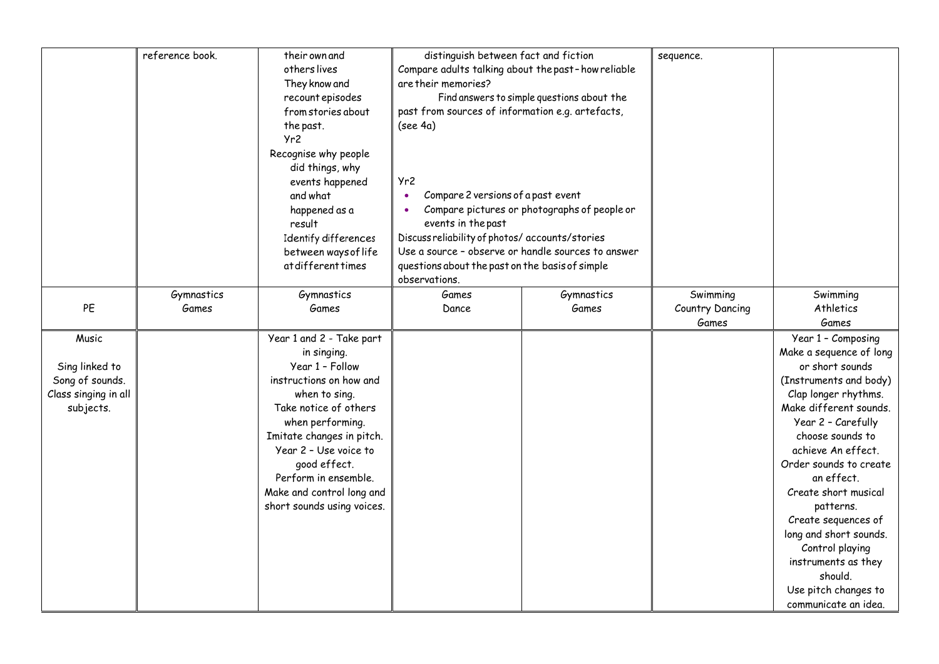|                      | reference book. | their own and              | distinguish between fact and fiction               |                                              | sequence.       |                         |
|----------------------|-----------------|----------------------------|----------------------------------------------------|----------------------------------------------|-----------------|-------------------------|
|                      |                 | others lives               | Compare adults talking about the past-how reliable |                                              |                 |                         |
|                      |                 | They know and              | are their memories?                                |                                              |                 |                         |
|                      |                 | recount episodes           |                                                    | Find answers to simple questions about the   |                 |                         |
|                      |                 | from stories about         | past from sources of information e.g. artefacts,   |                                              |                 |                         |
|                      |                 | the past.                  | (see 4a)                                           |                                              |                 |                         |
|                      |                 | Yr2                        |                                                    |                                              |                 |                         |
|                      |                 | Recognise why people       |                                                    |                                              |                 |                         |
|                      |                 | did things, why            |                                                    |                                              |                 |                         |
|                      |                 | events happened            | Yr2                                                |                                              |                 |                         |
|                      |                 | and what                   | Compare 2 versions of a past event<br>$\bullet$    |                                              |                 |                         |
|                      |                 | happened as a              | $\bullet$                                          | Compare pictures or photographs of people or |                 |                         |
|                      |                 | result                     | events in the past                                 |                                              |                 |                         |
|                      |                 | Identify differences       | Discuss reliability of photos/ accounts/stories    |                                              |                 |                         |
|                      |                 | between ways of life       | Use a source - observe or handle sources to answer |                                              |                 |                         |
|                      |                 | at different times         | questions about the past on the basis of simple    |                                              |                 |                         |
|                      |                 |                            | observations.                                      |                                              |                 |                         |
|                      | Gymnastics      | Gymnastics                 | Games                                              | Gymnastics                                   | Swimming        | Swimming                |
| PE                   | Games           | Games                      | Dance                                              | Games                                        | Country Dancing | Athletics               |
|                      |                 |                            |                                                    |                                              | Games           | Games                   |
| Music                |                 | Year 1 and 2 - Take part   |                                                    |                                              |                 | Year 1 - Composing      |
|                      |                 | in singing.                |                                                    |                                              |                 | Make a sequence of long |
| Sing linked to       |                 | Year 1 - Follow            |                                                    |                                              |                 | or short sounds         |
| Song of sounds.      |                 | instructions on how and    |                                                    |                                              |                 | (Instruments and body)  |
| Class singing in all |                 | when to sing.              |                                                    |                                              |                 | Clap longer rhythms.    |
| subjects.            |                 | Take notice of others      |                                                    |                                              |                 | Make different sounds.  |
|                      |                 | when performing.           |                                                    |                                              |                 | Year 2 - Carefully      |
|                      |                 | Imitate changes in pitch.  |                                                    |                                              |                 | choose sounds to        |
|                      |                 | Year 2 - Use voice to      |                                                    |                                              |                 | achieve An effect.      |
|                      |                 | good effect.               |                                                    |                                              |                 | Order sounds to create  |
|                      |                 | Perform in ensemble.       |                                                    |                                              |                 | an effect.              |
|                      |                 | Make and control long and  |                                                    |                                              |                 | Create short musical    |
|                      |                 | short sounds using voices. |                                                    |                                              |                 | patterns.               |
|                      |                 |                            |                                                    |                                              |                 | Create sequences of     |
|                      |                 |                            |                                                    |                                              |                 | long and short sounds.  |
|                      |                 |                            |                                                    |                                              |                 | Control playing         |
|                      |                 |                            |                                                    |                                              |                 | instruments as they     |
|                      |                 |                            |                                                    |                                              |                 | should.                 |
|                      |                 |                            |                                                    |                                              |                 | Use pitch changes to    |
|                      |                 |                            |                                                    |                                              |                 | communicate an idea.    |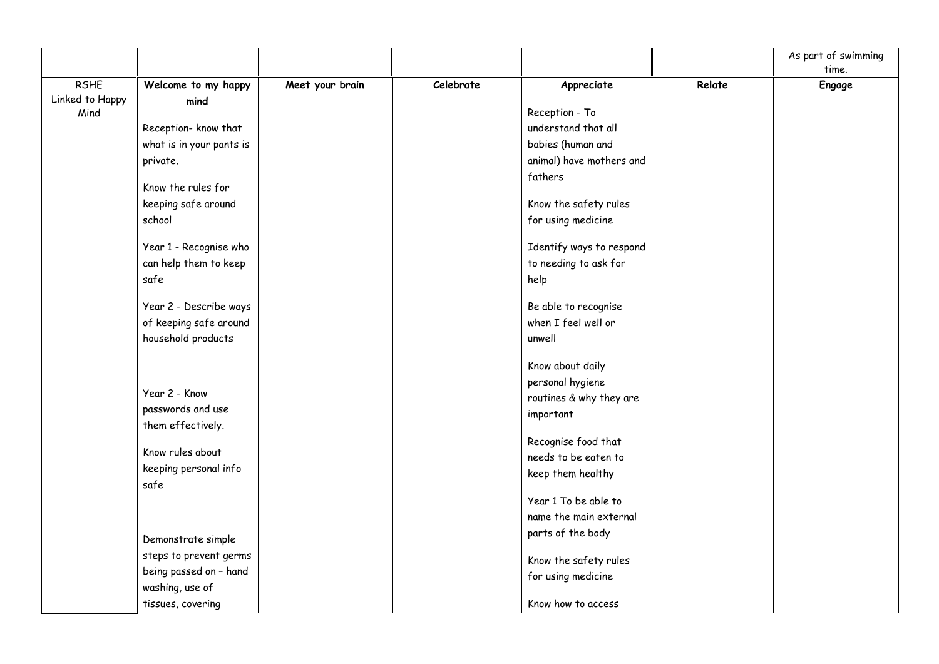|                                |                          |                 |           |                          |        | As part of swimming |
|--------------------------------|--------------------------|-----------------|-----------|--------------------------|--------|---------------------|
|                                |                          |                 |           |                          |        | time.               |
| <b>RSHE</b><br>Linked to Happy | Welcome to my happy      | Meet your brain | Celebrate | Appreciate               | Relate | Engage              |
| Mind                           | mind                     |                 |           | Reception - To           |        |                     |
|                                | Reception- know that     |                 |           | understand that all      |        |                     |
|                                | what is in your pants is |                 |           | babies (human and        |        |                     |
|                                | private.                 |                 |           | animal) have mothers and |        |                     |
|                                |                          |                 |           | fathers                  |        |                     |
|                                | Know the rules for       |                 |           |                          |        |                     |
|                                | keeping safe around      |                 |           | Know the safety rules    |        |                     |
|                                | school                   |                 |           | for using medicine       |        |                     |
|                                | Year 1 - Recognise who   |                 |           | Identify ways to respond |        |                     |
|                                | can help them to keep    |                 |           | to needing to ask for    |        |                     |
|                                | safe                     |                 |           | help                     |        |                     |
|                                | Year 2 - Describe ways   |                 |           | Be able to recognise     |        |                     |
|                                | of keeping safe around   |                 |           | when I feel well or      |        |                     |
|                                | household products       |                 |           | unwell                   |        |                     |
|                                |                          |                 |           | Know about daily         |        |                     |
|                                |                          |                 |           | personal hygiene         |        |                     |
|                                | Year 2 - Know            |                 |           | routines & why they are  |        |                     |
|                                | passwords and use        |                 |           | important                |        |                     |
|                                | them effectively.        |                 |           |                          |        |                     |
|                                |                          |                 |           | Recognise food that      |        |                     |
|                                | Know rules about         |                 |           | needs to be eaten to     |        |                     |
|                                | keeping personal info    |                 |           | keep them healthy        |        |                     |
|                                | safe                     |                 |           |                          |        |                     |
|                                |                          |                 |           | Year 1 To be able to     |        |                     |
|                                |                          |                 |           | name the main external   |        |                     |
|                                | Demonstrate simple       |                 |           | parts of the body        |        |                     |
|                                | steps to prevent germs   |                 |           | Know the safety rules    |        |                     |
|                                | being passed on - hand   |                 |           | for using medicine       |        |                     |
|                                | washing, use of          |                 |           |                          |        |                     |
|                                | tissues, covering        |                 |           | Know how to access       |        |                     |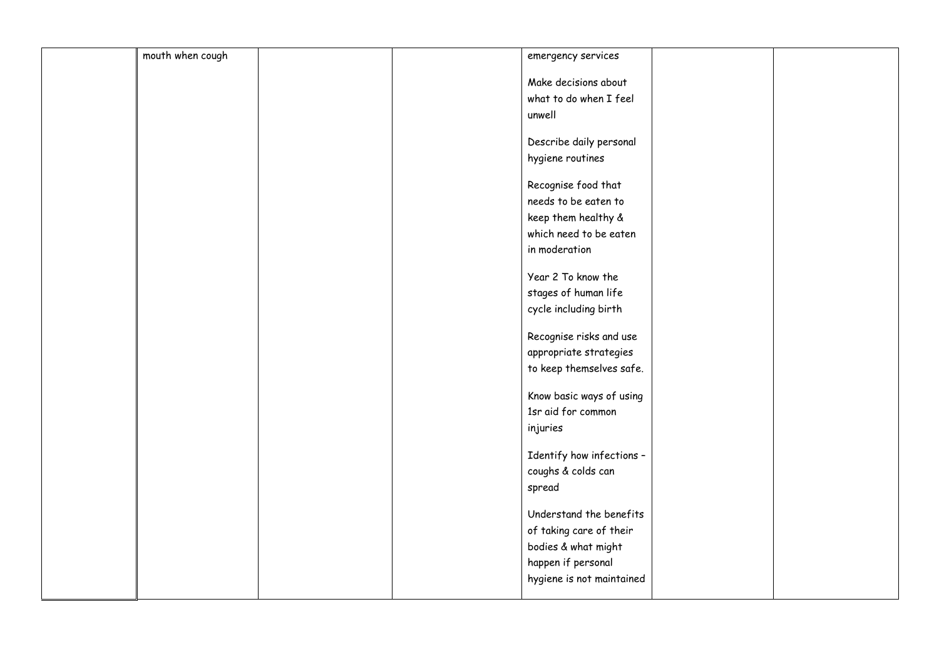| mouth when cough |  | emergency services        |  |
|------------------|--|---------------------------|--|
|                  |  | Make decisions about      |  |
|                  |  | what to do when I feel    |  |
|                  |  | unwell                    |  |
|                  |  |                           |  |
|                  |  | Describe daily personal   |  |
|                  |  | hygiene routines          |  |
|                  |  |                           |  |
|                  |  | Recognise food that       |  |
|                  |  | needs to be eaten to      |  |
|                  |  | keep them healthy &       |  |
|                  |  | which need to be eaten    |  |
|                  |  | in moderation             |  |
|                  |  | Year 2 To know the        |  |
|                  |  | stages of human life      |  |
|                  |  | cycle including birth     |  |
|                  |  |                           |  |
|                  |  | Recognise risks and use   |  |
|                  |  | appropriate strategies    |  |
|                  |  | to keep themselves safe.  |  |
|                  |  | Know basic ways of using  |  |
|                  |  | 1sr aid for common        |  |
|                  |  | injuries                  |  |
|                  |  |                           |  |
|                  |  | Identify how infections - |  |
|                  |  | coughs & colds can        |  |
|                  |  | spread                    |  |
|                  |  | Understand the benefits   |  |
|                  |  | of taking care of their   |  |
|                  |  | bodies & what might       |  |
|                  |  | happen if personal        |  |
|                  |  |                           |  |
|                  |  | hygiene is not maintained |  |
|                  |  |                           |  |